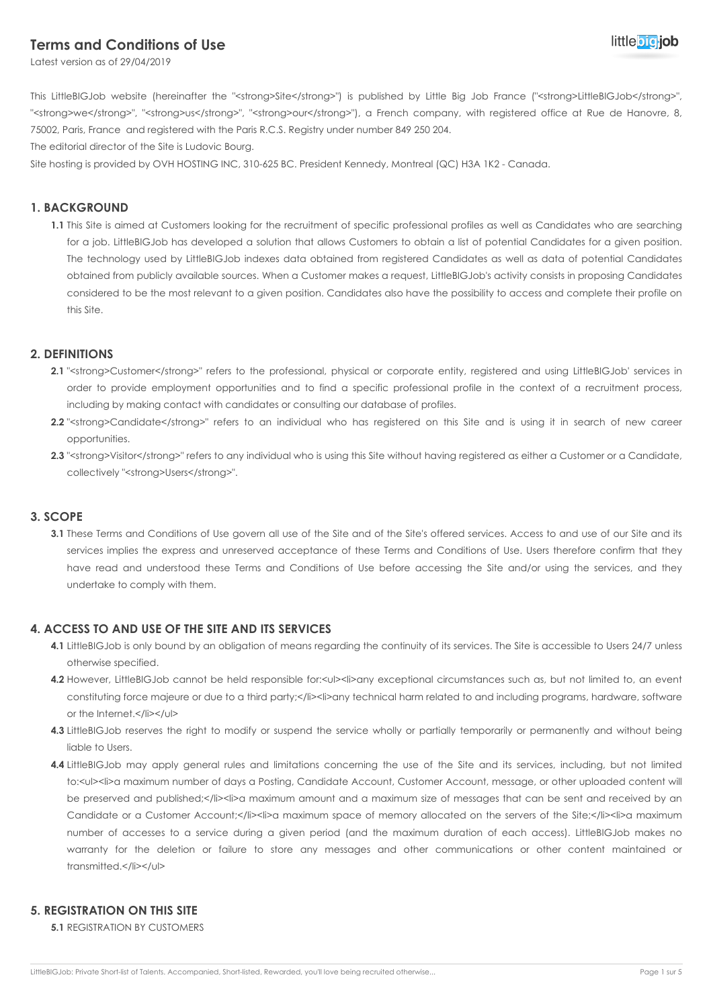# **Terms and Conditions of Use**



Latest version as of 29/04/2019

This LittleBIGJob website (hereinafter the "<strong>Site</strong>") is published by Little Big Job France ("<strong>LittleBIGJob</strong>", "<strong>we</strong>", "<strong>us</strong>", "<strong>our</strong>"), a French company, with registered office at Rue de Hanovre, 8, 75002, Paris, France and registered with the Paris R.C.S. Registry under number 849 250 204.

The editorial director of the Site is Ludovic Bourg.

Site hosting is provided by OVH HOSTING INC, 310-625 BC. President Kennedy, Montreal (QC) H3A 1K2 - Canada.

# **1. BACKGROUND**

**1.1** This Site is aimed at Customers looking for the recruitment of specific professional profiles as well as Candidates who are searching for a job. LittleBIGJob has developed a solution that allows Customers to obtain a list of potential Candidates for a given position. The technology used by LittleBIGJob indexes data obtained from registered Candidates as well as data of potential Candidates obtained from publicly available sources. When a Customer makes a request, LittleBIGJob's activity consists in proposing Candidates considered to be the most relevant to a given position. Candidates also have the possibility to access and complete their profile on this Site.

# **2. DEFINITIONS**

- 2.1 "<strong>Customer</strong>" refers to the professional, physical or corporate entity, registered and using LittleBIGJob' services in order to provide employment opportunities and to find a specific professional profile in the context of a recruitment process, including by making contact with candidates or consulting our database of profiles.
- 2.2 "<strong>Candidate</strong>" refers to an individual who has registered on this Site and is using it in search of new career opportunities.
- 2.3 "<strong>Visitor</strong>" refers to any individual who is using this Site without having registered as either a Customer or a Candidate, collectively "<strong>Users</strong>".

#### **3. SCOPE**

**3.1** These Terms and Conditions of Use govern all use of the Site and of the Site's offered services. Access to and use of our Site and its services implies the express and unreserved acceptance of these Terms and Conditions of Use. Users therefore confirm that they have read and understood these Terms and Conditions of Use before accessing the Site and/or using the services, and they undertake to comply with them.

#### **4. ACCESS TO AND USE OF THE SITE AND ITS SERVICES**

- **4.1** LittleBIGJob is only bound by an obligation of means regarding the continuity of its services. The Site is accessible to Users 24/7 unless otherwise specified.
- **4.2** However, LittleBIGJob cannot be held responsible for:<ul><li>any exceptional circumstances such as, but not limited to, an event constituting force majeure or due to a third party;</li><li>any technical harm related to and including programs, hardware, software or the Internet.</li></ul>
- **4.3** LittleBIGJob reserves the right to modify or suspend the service wholly or partially temporarily or permanently and without being liable to Users.
- **4.4** LittleBIGJob may apply general rules and limitations concerning the use of the Site and its services, including, but not limited to:<ul><li>a maximum number of days a Posting, Candidate Account, Customer Account, message, or other uploaded content will be preserved and published;</li><li>a maximum amount and a maximum size of messages that can be sent and received by an Candidate or a Customer Account;</li><li>a maximum space of memory allocated on the servers of the Site;</li><li>a maximum number of accesses to a service during a given period (and the maximum duration of each access). LittleBIGJob makes no warranty for the deletion or failure to store any messages and other communications or other content maintained or transmitted.</li></ul>

### **5. REGISTRATION ON THIS SITE**

**5.1** REGISTRATION BY CUSTOMERS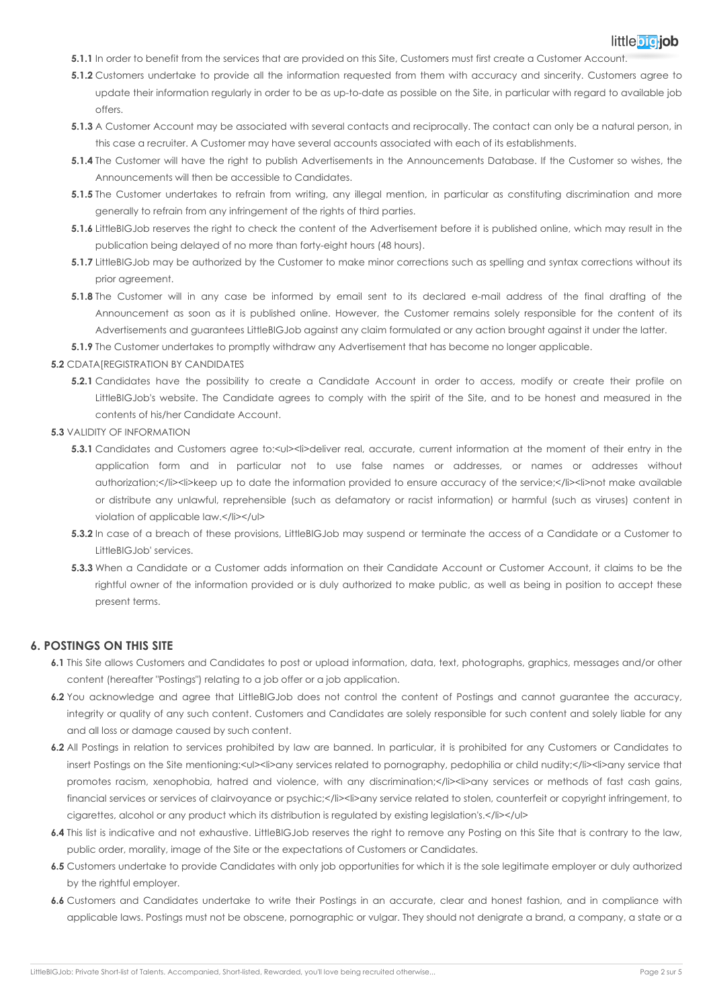# little bioliob

- **5.1.1** In order to benefit from the services that are provided on this Site, Customers must first create a Customer Account.
- **5.1.2** Customers undertake to provide all the information requested from them with accuracy and sincerity. Customers agree to update their information regularly in order to be as up-to-date as possible on the Site, in particular with regard to available job offers.
- **5.1.3** A Customer Account may be associated with several contacts and reciprocally. The contact can only be a natural person, in this case a recruiter. A Customer may have several accounts associated with each of its establishments.
- **5.1.4** The Customer will have the right to publish Advertisements in the Announcements Database. If the Customer so wishes, the Announcements will then be accessible to Candidates.
- **5.1.5** The Customer undertakes to refrain from writing, any illegal mention, in particular as constituting discrimination and more generally to refrain from any infringement of the rights of third parties.
- **5.1.6** LittleBIGJob reserves the right to check the content of the Advertisement before it is published online, which may result in the publication being delayed of no more than forty-eight hours (48 hours).
- **5.1.7** LittleBIGJob may be authorized by the Customer to make minor corrections such as spelling and syntax corrections without its prior agreement.
- **5.1.8** The Customer will in any case be informed by email sent to its declared e-mail address of the final drafting of the Announcement as soon as it is published online. However, the Customer remains solely responsible for the content of its Advertisements and guarantees LittleBIGJob against any claim formulated or any action brought against it under the latter.
- **5.1.9** The Customer undertakes to promptly withdraw any Advertisement that has become no longer applicable.

#### **5.2 CDATAIREGISTRATION BY CANDIDATES**

- **5.2.1** Candidates have the possibility to create a Candidate Account in order to access, modify or create their profile on LittleBIGJob's website. The Candidate agrees to comply with the spirit of the Site, and to be honest and measured in the contents of his/her Candidate Account.
- **5.3** VALIDITY OF INFORMATION
	- **5.3.1** Candidates and Customers agree to:<ul><li>deliver real, accurate, current information at the moment of their entry in the application form and in particular not to use false names or addresses, or names or addresses without authorization;</li><li>keep up to date the information provided to ensure accuracy of the service;</li><li>not make available or distribute any unlawful, reprehensible (such as defamatory or racist information) or harmful (such as viruses) content in violation of applicable law.</li></ul>
	- **5.3.2** In case of a breach of these provisions, LittleBIGJob may suspend or terminate the access of a Candidate or a Customer to LittleBIGJob' services.
	- **5.3.3** When a Candidate or a Customer adds information on their Candidate Account or Customer Account, it claims to be the rightful owner of the information provided or is duly authorized to make public, as well as being in position to accept these present terms.

#### **6. POSTINGS ON THIS SITE**

- **6.1** This Site allows Customers and Candidates to post or upload information, data, text, photographs, graphics, messages and/or other content (hereafter "Postings") relating to a job offer or a job application.
- **6.2** You acknowledge and agree that LittleBIGJob does not control the content of Postings and cannot guarantee the accuracy, integrity or quality of any such content. Customers and Candidates are solely responsible for such content and solely liable for any and all loss or damage caused by such content.
- **6.2** All Postings in relation to services prohibited by law are banned. In particular, it is prohibited for any Customers or Candidates to insert Postings on the Site mentioning:<ul><li>any services related to pornography, pedophilia or child nudity;</li><li>any service that promotes racism, xenophobia, hatred and violence, with any discrimination;</li><li>any services or methods of fast cash gains, financial services or services of clairvoyance or psychic;</li><li>any service related to stolen, counterfeit or copyright infringement, to cigarettes, alcohol or any product which its distribution is regulated by existing legislation's.</li></ul>
- **6.4** This list is indicative and not exhaustive. LittleBIGJob reserves the right to remove any Posting on this Site that is contrary to the law, public order, morality, image of the Site or the expectations of Customers or Candidates.
- **6.5** Customers undertake to provide Candidates with only job opportunities for which it is the sole legitimate employer or duly authorized by the rightful employer.
- **6.6** Customers and Candidates undertake to write their Postings in an accurate, clear and honest fashion, and in compliance with applicable laws. Postings must not be obscene, pornographic or vulgar. They should not denigrate a brand, a company, a state or a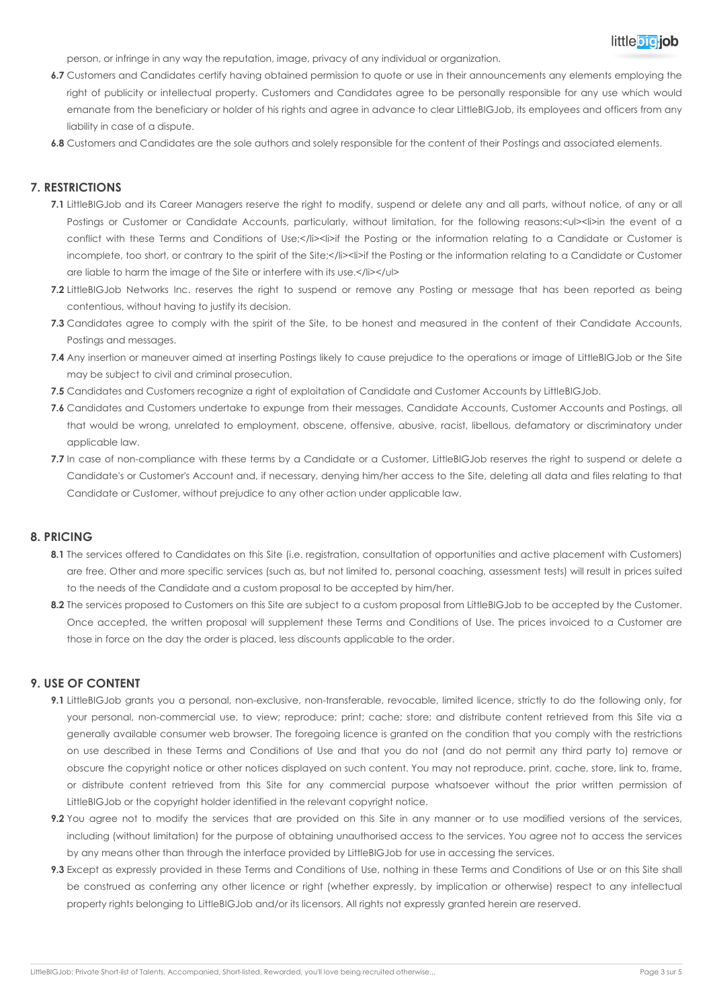

person, or infringe in any way the reputation, image, privacy of any individual or organization.

- **6.7** Customers and Candidates certify having obtained permission to quote or use in their announcements any elements employing the right of publicity or intellectual property. Customers and Candidates agree to be personally responsible for any use which would emanate from the beneficiary or holder of his rights and agree in advance to clear LittleBIGJob, its employees and officers from any liability in case of a dispute.
- **6.8** Customers and Candidates are the sole authors and solely responsible for the content of their Postings and associated elements.

### **7. RESTRICTIONS**

- **7.1** LittleBIGJob and its Career Managers reserve the right to modify, suspend or delete any and all parts, without notice, of any or all Postings or Customer or Candidate Accounts, particularly, without limitation, for the following reasons:<ul><li>in the event of a conflict with these Terms and Conditions of Use;</li><li>if the Posting or the information relating to a Candidate or Customer is incomplete, too short, or contrary to the spirit of the Site;</li><li>if the Posting or the information relating to a Candidate or Customer are liable to harm the image of the Site or interfere with its use.</li></ul>
- **7.2** LittleBIGJob Networks Inc. reserves the right to suspend or remove any Posting or message that has been reported as being contentious, without having to justify its decision.
- **7.3** Candidates agree to comply with the spirit of the Site, to be honest and measured in the content of their Candidate Accounts. Postings and messages.
- **7.4** Any insertion or maneuver aimed at inserting Postings likely to cause prejudice to the operations or image of LittleBIGJob or the Site may be subject to civil and criminal prosecution.
- **7.5** Candidates and Customers recognize a right of exploitation of Candidate and Customer Accounts by LittleBIGJob.
- **7.6** Candidates and Customers undertake to expunge from their messages, Candidate Accounts, Customer Accounts and Postings, all that would be wrong, unrelated to employment, obscene, offensive, abusive, racist, libellous, defamatory or discriminatory under applicable law.
- **7.7** In case of non-compliance with these terms by a Candidate or a Customer, LittleBIGJob reserves the right to suspend or delete a Candidate's or Customer's Account and, if necessary, denying him/her access to the Site, deleting all data and files relating to that Candidate or Customer, without prejudice to any other action under applicable law.

#### **8. PRICING**

- 8.1 The services offered to Candidates on this Site (i.e. registration, consultation of opportunities and active placement with Customers) are free. Other and more specific services (such as, but not limited to, personal coaching, assessment tests) will result in prices suited to the needs of the Candidate and a custom proposal to be accepted by him/her.
- 8.2 The services proposed to Customers on this Site are subject to a custom proposal from LittleBIGJob to be accepted by the Customer. Once accepted, the written proposal will supplement these Terms and Conditions of Use. The prices invoiced to a Customer are those in force on the day the order is placed, less discounts applicable to the order.

#### **9. USE OF CONTENT**

- **9.1** LittleBIGJob grants you a personal, non-exclusive, non-transferable, revocable, limited licence, strictly to do the following only, for your personal, non-commercial use, to view; reproduce; print; cache; store; and distribute content retrieved from this Site via a generally available consumer web browser. The foregoing licence is granted on the condition that you comply with the restrictions on use described in these Terms and Conditions of Use and that you do not (and do not permit any third party to) remove or obscure the copyright notice or other notices displayed on such content. You may not reproduce, print, cache, store, link to, frame, or distribute content retrieved from this Site for any commercial purpose whatsoever without the prior written permission of LittleBIGJob or the copyright holder identified in the relevant copyright notice.
- **9.2** You agree not to modify the services that are provided on this Site in any manner or to use modified versions of the services, including (without limitation) for the purpose of obtaining unauthorised access to the services. You agree not to access the services by any means other than through the interface provided by LittleBIGJob for use in accessing the services.
- **9.3** Except as expressly provided in these Terms and Conditions of Use, nothing in these Terms and Conditions of Use or on this Site shall be construed as conferring any other licence or right (whether expressly, by implication or otherwise) respect to any intellectual property rights belonging to LittleBIGJob and/or its licensors. All rights not expressly granted herein are reserved.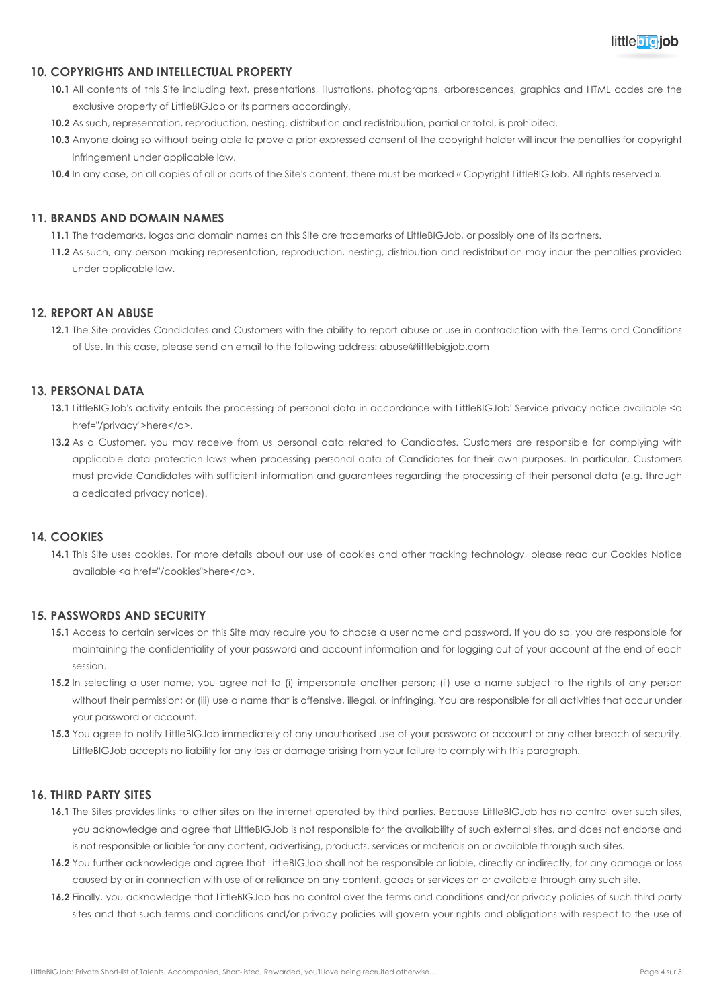

# **10. COPYRIGHTS AND INTELLECTUAL PROPERTY**

- **10.1** All contents of this Site including text, presentations, illustrations, photographs, arborescences, graphics and HTML codes are the exclusive property of LittleBIGJob or its partners accordingly.
- **10.2** As such, representation, reproduction, nesting, distribution and redistribution, partial or total, is prohibited.
- **10.3** Anyone doing so without being able to prove a prior expressed consent of the copyright holder will incur the penalties for copyright infringement under applicable law.
- **10.4** In any case, on all copies of all or parts of the Site's content, there must be marked « Copyright LittleBIGJob. All rights reserved ».

#### **11. BRANDS AND DOMAIN NAMES**

**11.1** The trademarks, logos and domain names on this Site are trademarks of LittleBIGJob, or possibly one of its partners.

**11.2** As such, any person making representation, reproduction, nesting, distribution and redistribution may incur the penalties provided under applicable law.

## **12. REPORT AN ABUSE**

**12.1** The Site provides Candidates and Customers with the ability to report abuse or use in contradiction with the Terms and Conditions of Use. In this case, please send an email to the following address: abuse@littlebigjob.com

# **13. PERSONAL DATA**

- 13.1 LittleBIGJob's activity entails the processing of personal data in accordance with LittleBIGJob' Service privacy notice available <a href="/privacy">here</a>.
- 13.2 As a Customer, you may receive from us personal data related to Candidates. Customers are responsible for complying with applicable data protection laws when processing personal data of Candidates for their own purposes. In particular, Customers must provide Candidates with sufficient information and guarantees regarding the processing of their personal data (e.g. through a dedicated privacy notice).

#### **14. COOKIES**

**14.1** This Site uses cookies. For more details about our use of cookies and other tracking technology, please read our Cookies Notice available <a href="/cookies">here</a>.

#### **15. PASSWORDS AND SECURITY**

- **15.1** Access to certain services on this Site may require you to choose a user name and password. If you do so, you are responsible for maintaining the confidentiality of your password and account information and for logging out of your account at the end of each session.
- **15.2** In selecting a user name, you agree not to (i) impersonate another person; (ii) use a name subject to the rights of any person without their permission; or (iii) use a name that is offensive, illegal, or infringing. You are responsible for all activities that occur under your password or account.
- 15.3 You agree to notify LittleBIGJob immediately of any unauthorised use of your password or account or any other breach of security. LittleBIGJob accepts no liability for any loss or damage arising from your failure to comply with this paragraph.

### **16. THIRD PARTY SITES**

- **16.1** The Sites provides links to other sites on the internet operated by third parties. Because LittleBIGJob has no control over such sites, you acknowledge and agree that LittleBIGJob is not responsible for the availability of such external sites, and does not endorse and is not responsible or liable for any content, advertising, products, services or materials on or available through such sites.
- 16.2 You further acknowledge and agree that LittleBIGJob shall not be responsible or liable, directly or indirectly, for any damage or loss caused by or in connection with use of or reliance on any content, goods or services on or available through any such site.
- **16.2** Finally, you acknowledge that LittleBIGJob has no control over the terms and conditions and/or privacy policies of such third party sites and that such terms and conditions and/or privacy policies will govern your rights and obligations with respect to the use of